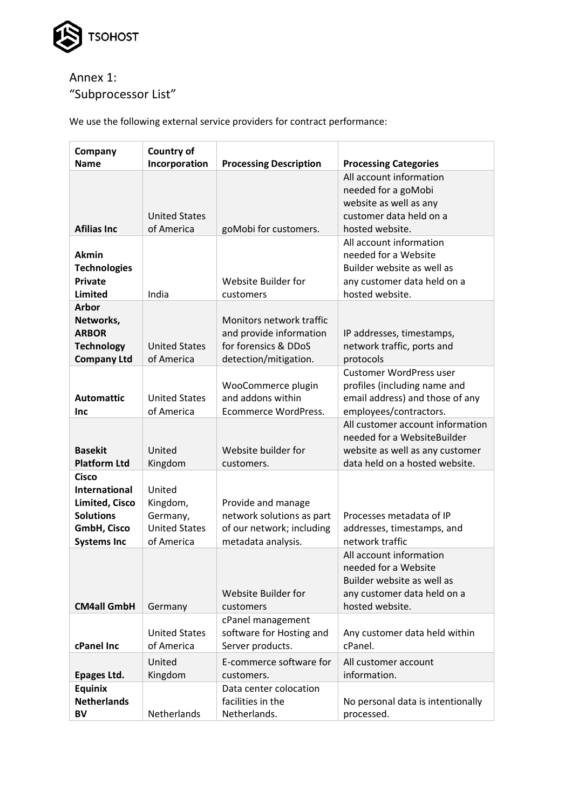

## Annex 1: "Subprocessor List"

We use the following external service providers for contract performance:

| Company<br><b>Name</b>                                                                                                 | <b>Country of</b><br>Incorporation                                   | <b>Processing Description</b>                                                                        | <b>Processing Categories</b>                                                                                                         |
|------------------------------------------------------------------------------------------------------------------------|----------------------------------------------------------------------|------------------------------------------------------------------------------------------------------|--------------------------------------------------------------------------------------------------------------------------------------|
| <b>Afilias Inc</b>                                                                                                     | <b>United States</b><br>of America                                   | goMobi for customers.                                                                                | All account information<br>needed for a goMobi<br>website as well as any<br>customer data held on a<br>hosted website.               |
| <b>Akmin</b><br><b>Technologies</b><br><b>Private</b><br><b>Limited</b>                                                | India                                                                | Website Builder for<br>customers                                                                     | All account information<br>needed for a Website<br>Builder website as well as<br>any customer data held on a<br>hosted website.      |
| Arbor<br>Networks,<br><b>ARBOR</b><br><b>Technology</b><br><b>Company Ltd</b>                                          | <b>United States</b><br>of America                                   | Monitors network traffic<br>and provide information<br>for forensics & DDoS<br>detection/mitigation. | IP addresses, timestamps,<br>network traffic, ports and<br>protocols                                                                 |
| <b>Automattic</b><br>Inc                                                                                               | <b>United States</b><br>of America                                   | WooCommerce plugin<br>and addons within<br>Ecommerce WordPress.                                      | <b>Customer WordPress user</b><br>profiles (including name and<br>email address) and those of any<br>employees/contractors.          |
| <b>Basekit</b><br><b>Platform Ltd</b>                                                                                  | United<br>Kingdom                                                    | Website builder for<br>customers.                                                                    | All customer account information<br>needed for a WebsiteBuilder<br>website as well as any customer<br>data held on a hosted website. |
| <b>Cisco</b><br><b>International</b><br><b>Limited, Cisco</b><br><b>Solutions</b><br>GmbH, Cisco<br><b>Systems Inc</b> | United<br>Kingdom,<br>Germany,<br><b>United States</b><br>of America | Provide and manage<br>network solutions as part<br>of our network; including<br>metadata analysis.   | Processes metadata of IP<br>addresses, timestamps, and<br>network traffic                                                            |
| <b>CM4all GmbH</b>                                                                                                     | Germany                                                              | Website Builder for<br>customers                                                                     | All account information<br>needed for a Website<br>Builder website as well as<br>any customer data held on a<br>hosted website.      |
| cPanel Inc                                                                                                             | <b>United States</b><br>of America                                   | cPanel management<br>software for Hosting and<br>Server products.                                    | Any customer data held within<br>cPanel.                                                                                             |
| Epages Ltd.                                                                                                            | United<br>Kingdom                                                    | E-commerce software for<br>customers.                                                                | All customer account<br>information.                                                                                                 |
| <b>Equinix</b><br><b>Netherlands</b><br><b>BV</b>                                                                      | Netherlands                                                          | Data center colocation<br>facilities in the<br>Netherlands.                                          | No personal data is intentionally<br>processed.                                                                                      |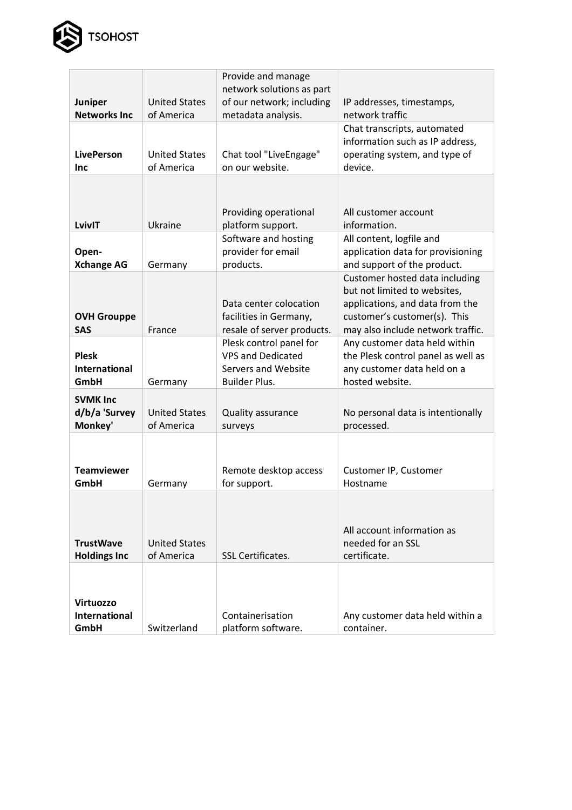

|                                       |                                    | Provide and manage                              |                                              |
|---------------------------------------|------------------------------------|-------------------------------------------------|----------------------------------------------|
|                                       |                                    | network solutions as part                       |                                              |
| <b>Juniper</b><br><b>Networks Inc</b> | <b>United States</b><br>of America | of our network; including<br>metadata analysis. | IP addresses, timestamps,<br>network traffic |
|                                       |                                    |                                                 | Chat transcripts, automated                  |
|                                       |                                    |                                                 | information such as IP address,              |
| <b>LivePerson</b>                     | <b>United States</b>               | Chat tool "LiveEngage"                          | operating system, and type of                |
| Inc                                   | of America                         | on our website.                                 | device.                                      |
|                                       |                                    |                                                 |                                              |
|                                       |                                    |                                                 |                                              |
|                                       |                                    |                                                 |                                              |
| LvivIT                                | Ukraine                            | Providing operational                           | All customer account                         |
|                                       |                                    | platform support.<br>Software and hosting       | information.<br>All content, logfile and     |
| Open-                                 |                                    | provider for email                              | application data for provisioning            |
| <b>Xchange AG</b>                     | Germany                            | products.                                       | and support of the product.                  |
|                                       |                                    |                                                 | Customer hosted data including               |
|                                       |                                    |                                                 | but not limited to websites,                 |
|                                       |                                    | Data center colocation                          | applications, and data from the              |
| <b>OVH Grouppe</b>                    |                                    | facilities in Germany,                          | customer's customer(s). This                 |
| <b>SAS</b>                            | France                             | resale of server products.                      | may also include network traffic.            |
|                                       |                                    | Plesk control panel for                         | Any customer data held within                |
| <b>Plesk</b>                          |                                    | <b>VPS and Dedicated</b>                        | the Plesk control panel as well as           |
| <b>International</b>                  |                                    | Servers and Website                             | any customer data held on a                  |
| GmbH                                  | Germany                            | <b>Builder Plus.</b>                            | hosted website.                              |
| <b>SVMK Inc</b>                       |                                    |                                                 |                                              |
| d/b/a 'Survey                         | <b>United States</b>               | Quality assurance                               | No personal data is intentionally            |
| Monkey'                               | of America                         | surveys                                         | processed.                                   |
|                                       |                                    |                                                 |                                              |
|                                       |                                    |                                                 |                                              |
| <b>Teamviewer</b>                     |                                    | Remote desktop access                           | Customer IP, Customer                        |
| GmbH                                  | Germany                            | for support.                                    | Hostname                                     |
|                                       |                                    |                                                 |                                              |
|                                       |                                    |                                                 |                                              |
|                                       |                                    |                                                 | All account information as                   |
| <b>TrustWave</b>                      | <b>United States</b>               |                                                 | needed for an SSL                            |
| <b>Holdings Inc</b>                   | of America                         | <b>SSL Certificates.</b>                        | certificate.                                 |
|                                       |                                    |                                                 |                                              |
|                                       |                                    |                                                 |                                              |
| Virtuozzo                             |                                    |                                                 |                                              |
| <b>International</b>                  |                                    | Containerisation                                | Any customer data held within a              |
| GmbH                                  | Switzerland                        | platform software.                              | container.                                   |